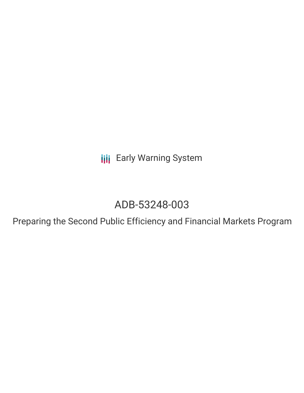**III** Early Warning System

# ADB-53248-003

Preparing the Second Public Efficiency and Financial Markets Program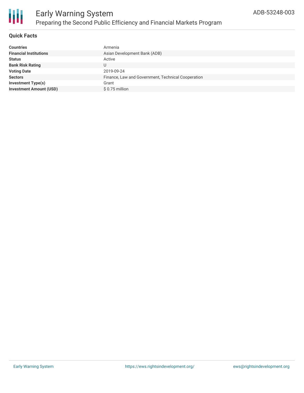

#### **Quick Facts**

| <b>Countries</b>               | Armenia                                            |
|--------------------------------|----------------------------------------------------|
| <b>Financial Institutions</b>  | Asian Development Bank (ADB)                       |
| <b>Status</b>                  | Active                                             |
| <b>Bank Risk Rating</b>        |                                                    |
| <b>Voting Date</b>             | 2019-09-24                                         |
| <b>Sectors</b>                 | Finance, Law and Government, Technical Cooperation |
| <b>Investment Type(s)</b>      | Grant                                              |
| <b>Investment Amount (USD)</b> | $$0.75$ million                                    |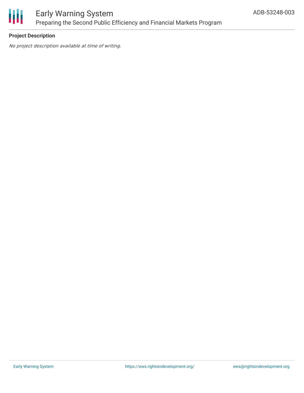

#### **Project Description**

No project description available at time of writing.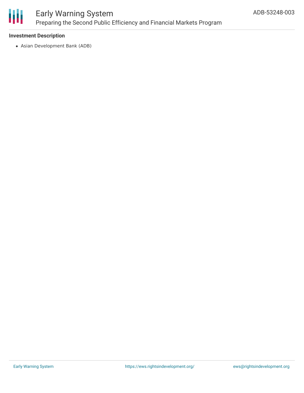

#### **Investment Description**

Asian Development Bank (ADB)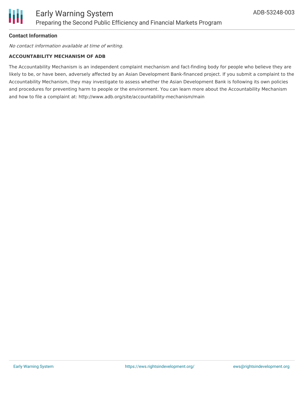

#### **Contact Information**

No contact information available at time of writing.

#### **ACCOUNTABILITY MECHANISM OF ADB**

The Accountability Mechanism is an independent complaint mechanism and fact-finding body for people who believe they are likely to be, or have been, adversely affected by an Asian Development Bank-financed project. If you submit a complaint to the Accountability Mechanism, they may investigate to assess whether the Asian Development Bank is following its own policies and procedures for preventing harm to people or the environment. You can learn more about the Accountability Mechanism and how to file a complaint at: http://www.adb.org/site/accountability-mechanism/main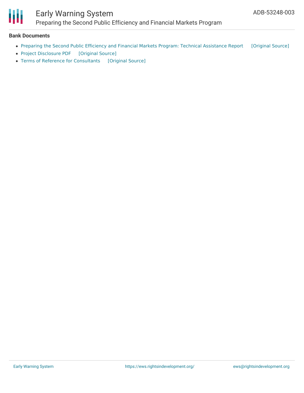

#### **Bank Documents**

- Preparing the Second Public Efficiency and Financial Markets Program: Technical [Assistance](https://ewsdata.rightsindevelopment.org/files/documents/03/ADB-53248-003_bAZHyF7.pdf) Report [\[Original](https://www.adb.org/sites/default/files/project-documents/53248/53248-003-tar-en.pdf) Source]
- Project [Disclosure](https://ewsdata.rightsindevelopment.org/files/documents/03/ADB-53248-003.pdf) PDF [\[Original](https://www.adb.org/printpdf/projects/53248-003/main) Source]
- Terms of Reference for [Consultants](https://ewsdata.rightsindevelopment.org/files/documents/03/ADB-53248-003_0LQRN5v.pdf) [\[Original](https://www.adb.org/sites/default/files/linked-documents/53248-003-sd-01.pdf) Source]